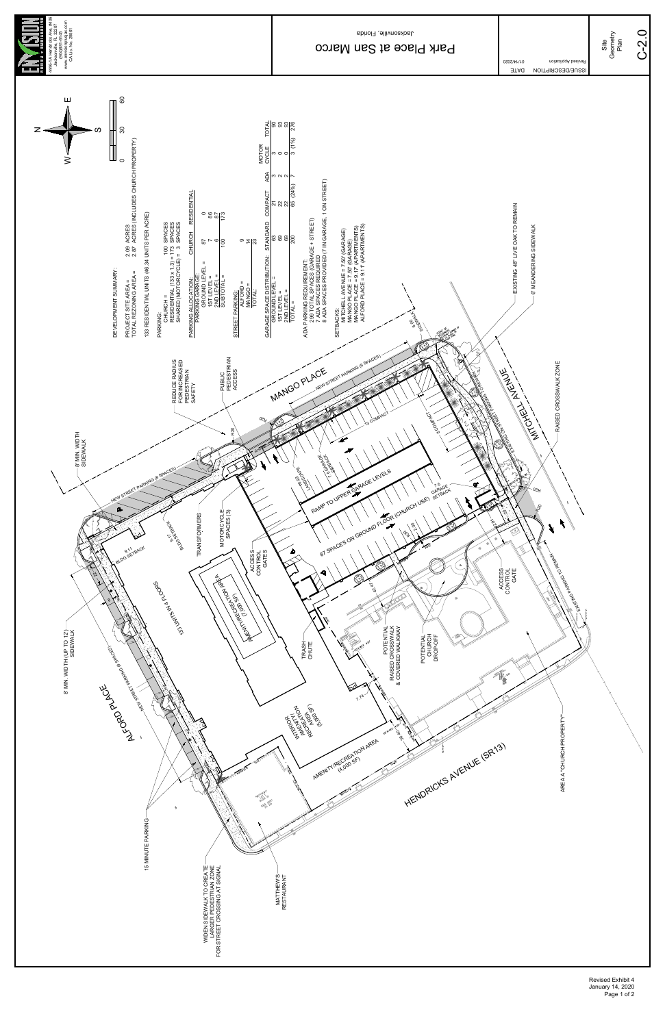

Revised Exhibit 4 January 14, 2020 Page 1 of 2